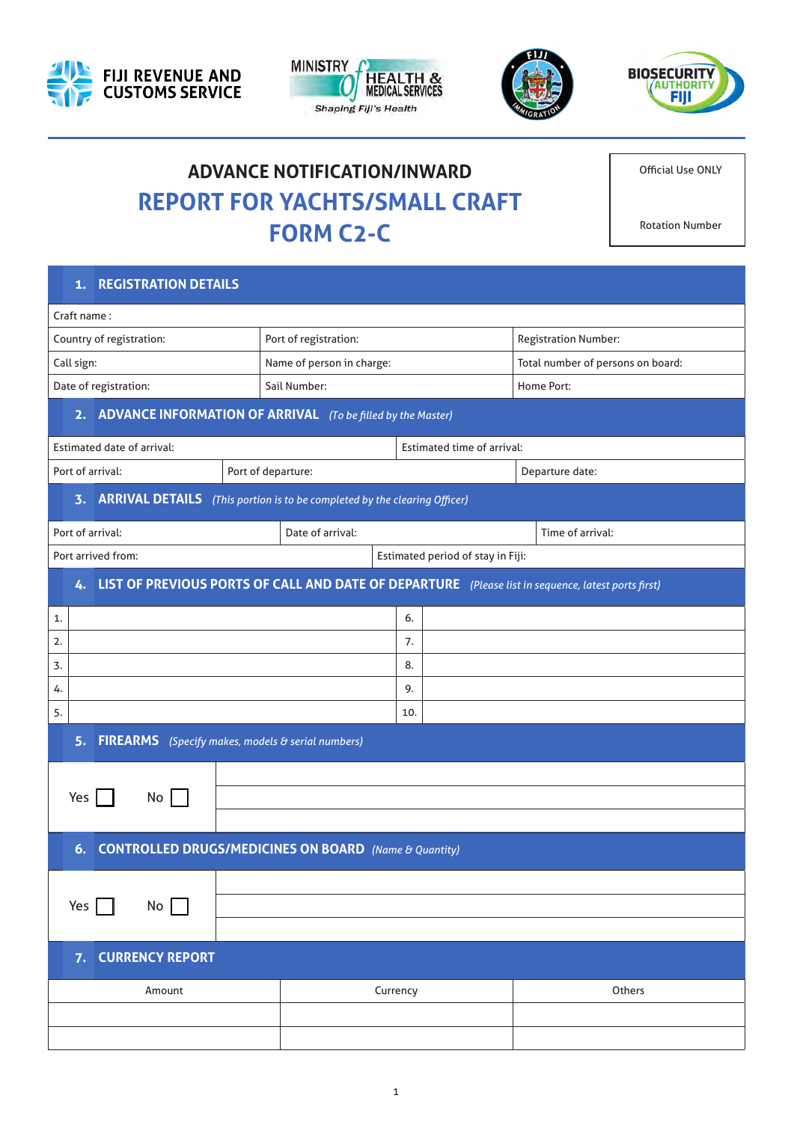







# **ADVANCE NOTIFICATION/INWARD REPORT FOR YACHTS/SMALL CRAFT FORM C2-C**

Official Use ONLY

Rotation Number

# Craft name : Country of registration: Port of registration: Registration Number: Call sign: Name of person in charge: Total number of persons on board: Total number of persons on board: Date of registration: Sail Number: Sail Number: Sail Number: Home Port: Amount Currency Others 1.  $\vert$  6. 2.  $\vert$  7.  $3.$  8. 4.  $\vert$  9.  $\vert$  5.  $\vert$  10. Estimated date of arrival: Estimated time of arrival: Port of departure: Port of departure: Port of departure: Port of departure date: Port of departure date: Port of arrival: Time of arrival: Time of arrival: Time of arrival: Port arrived from: Estimated period of stay in Fiji: **1. REGISTRATION DETAILS 2. ADVANCE INFORMATION OF ARRIVAL** *(To be filled by the Master)* **3. ARRIVAL DETAILS** *(This portion is to be completed by the clearing Officer)* **4. LIST OF PREVIOUS PORTS OF CALL AND DATE OF DEPARTURE** *(Please list in sequence, latest ports first)* **5. FIREARMS** *(Specify makes, models & serial numbers)* **6. CONTROLLED DRUGS/MEDICINES ON BOARD** *(Name & Quantity)* **7. CURRENCY REPORT** Yes No Yes  $\Box$  No  $\Box$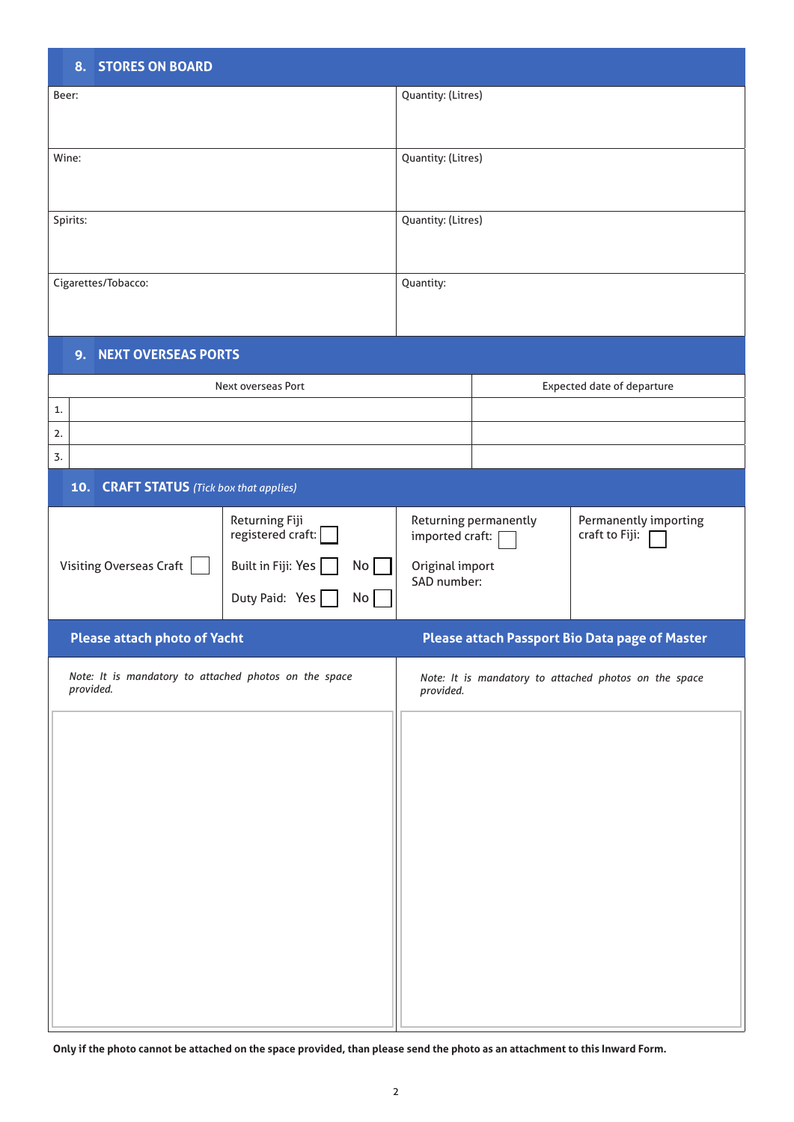| <b>8. STORES ON BOARD</b>                                                                                                              |                    |                                                                                                                       |  |                                                       |
|----------------------------------------------------------------------------------------------------------------------------------------|--------------------|-----------------------------------------------------------------------------------------------------------------------|--|-------------------------------------------------------|
| Beer:                                                                                                                                  |                    | Quantity: (Litres)                                                                                                    |  |                                                       |
| Wine:                                                                                                                                  |                    | Quantity: (Litres)                                                                                                    |  |                                                       |
| Spirits:                                                                                                                               |                    | Quantity: (Litres)                                                                                                    |  |                                                       |
| Cigarettes/Tobacco:                                                                                                                    |                    | Quantity:                                                                                                             |  |                                                       |
| 9. NEXT OVERSEAS PORTS                                                                                                                 |                    |                                                                                                                       |  |                                                       |
|                                                                                                                                        | Next overseas Port |                                                                                                                       |  | <b>Expected date of departure</b>                     |
| 1.<br>2.<br>3.                                                                                                                         |                    |                                                                                                                       |  |                                                       |
| 10. CRAFT STATUS (Tick box that applies)                                                                                               |                    |                                                                                                                       |  |                                                       |
| Returning Fiji<br>registered craft:<br>Built in Fiji: Yes<br><b>Visiting Overseas Craft</b><br>No <sub>1</sub><br>Duty Paid: Yes<br>No |                    | Returning permanently<br>Permanently importing<br>craft to Fiji:<br>imported craft:<br>Original import<br>SAD number: |  |                                                       |
| Please attach photo of Yacht                                                                                                           |                    |                                                                                                                       |  | Please attach Passport Bio Data page of Master        |
| Note: It is mandatory to attached photos on the space<br>provided.                                                                     |                    | provided.                                                                                                             |  | Note: It is mandatory to attached photos on the space |
|                                                                                                                                        |                    |                                                                                                                       |  |                                                       |

**Only if the photo cannot be attached on the space provided, than please send the photo as an attachment to this Inward Form.**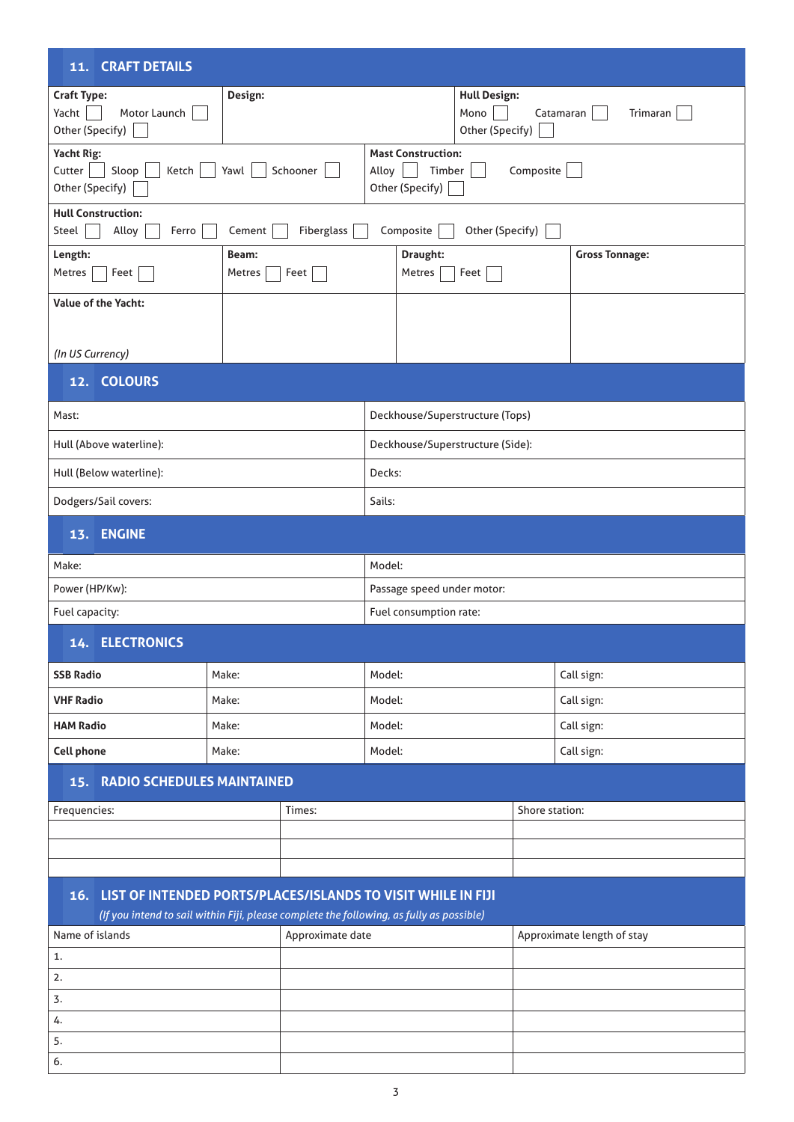| 11. CRAFT DETAILS                                                                                                                                             |                 |          |                            |                                                        |                                                |                       |
|---------------------------------------------------------------------------------------------------------------------------------------------------------------|-----------------|----------|----------------------------|--------------------------------------------------------|------------------------------------------------|-----------------------|
| <b>Craft Type:</b><br>Yacht<br>Motor Launch<br>Other (Specify)                                                                                                | Design:         |          |                            |                                                        | <b>Hull Design:</b><br>Mono<br>Other (Specify) | Catamaran<br>Trimaran |
| Yacht Rig:<br>Cutter<br>Sloop<br>Ketch<br>Other (Specify)                                                                                                     | Yawl            | Schooner | Alloy                      | <b>Mast Construction:</b><br>Timber<br>Other (Specify) | Composite                                      |                       |
| <b>Hull Construction:</b><br>Other (Specify)<br>Alloy<br>Fiberglass<br>Composite<br>Steel<br>Ferro<br>Cement                                                  |                 |          |                            |                                                        |                                                |                       |
| Length:<br>Metres<br>Feet                                                                                                                                     | Beam:<br>Metres | Feet     |                            | Draught:<br>Metres                                     | Feet                                           | <b>Gross Tonnage:</b> |
| <b>Value of the Yacht:</b>                                                                                                                                    |                 |          |                            |                                                        |                                                |                       |
| (In US Currency)                                                                                                                                              |                 |          |                            |                                                        |                                                |                       |
| 12. COLOURS                                                                                                                                                   |                 |          |                            |                                                        |                                                |                       |
| Mast:                                                                                                                                                         |                 |          |                            |                                                        | Deckhouse/Superstructure (Tops)                |                       |
| Hull (Above waterline):                                                                                                                                       |                 |          |                            |                                                        | Deckhouse/Superstructure (Side):               |                       |
| Hull (Below waterline):                                                                                                                                       |                 |          | Decks:                     |                                                        |                                                |                       |
| Dodgers/Sail covers:                                                                                                                                          |                 |          |                            | Sails:                                                 |                                                |                       |
| 13. ENGINE                                                                                                                                                    |                 |          |                            |                                                        |                                                |                       |
| Make:                                                                                                                                                         |                 |          | Model:                     |                                                        |                                                |                       |
| Power (HP/Kw):                                                                                                                                                |                 |          | Passage speed under motor: |                                                        |                                                |                       |
| Fuel capacity:                                                                                                                                                |                 |          |                            | Fuel consumption rate:                                 |                                                |                       |
| <b>14. ELECTRONICS</b>                                                                                                                                        |                 |          |                            |                                                        |                                                |                       |
| <b>SSB Radio</b>                                                                                                                                              | Make:           |          | Model:                     |                                                        |                                                | Call sign:            |
| <b>VHF Radio</b>                                                                                                                                              | Make:           |          | Model:                     |                                                        |                                                | Call sign:            |
| <b>HAM Radio</b>                                                                                                                                              | Make:           |          | Model:                     |                                                        |                                                | Call sign:            |
| <b>Cell phone</b>                                                                                                                                             | Make:           |          | Model:                     |                                                        |                                                | Call sign:            |
| <b>15. RADIO SCHEDULES MAINTAINED</b>                                                                                                                         |                 |          |                            |                                                        |                                                |                       |
| Frequencies:                                                                                                                                                  |                 | Times:   |                            |                                                        |                                                | Shore station:        |
|                                                                                                                                                               |                 |          |                            |                                                        |                                                |                       |
|                                                                                                                                                               |                 |          |                            |                                                        |                                                |                       |
| 16. LIST OF INTENDED PORTS/PLACES/ISLANDS TO VISIT WHILE IN FIJI                                                                                              |                 |          |                            |                                                        |                                                |                       |
| (If you intend to sail within Fiji, please complete the following, as fully as possible)<br>Name of islands<br>Approximate date<br>Approximate length of stay |                 |          |                            |                                                        |                                                |                       |
| 1.                                                                                                                                                            |                 |          |                            |                                                        |                                                |                       |
| 2.                                                                                                                                                            |                 |          |                            |                                                        |                                                |                       |
| 3.                                                                                                                                                            |                 |          |                            |                                                        |                                                |                       |
| 4.                                                                                                                                                            |                 |          |                            |                                                        |                                                |                       |
| 5.                                                                                                                                                            |                 |          |                            |                                                        |                                                |                       |
| 6.                                                                                                                                                            |                 |          |                            |                                                        |                                                |                       |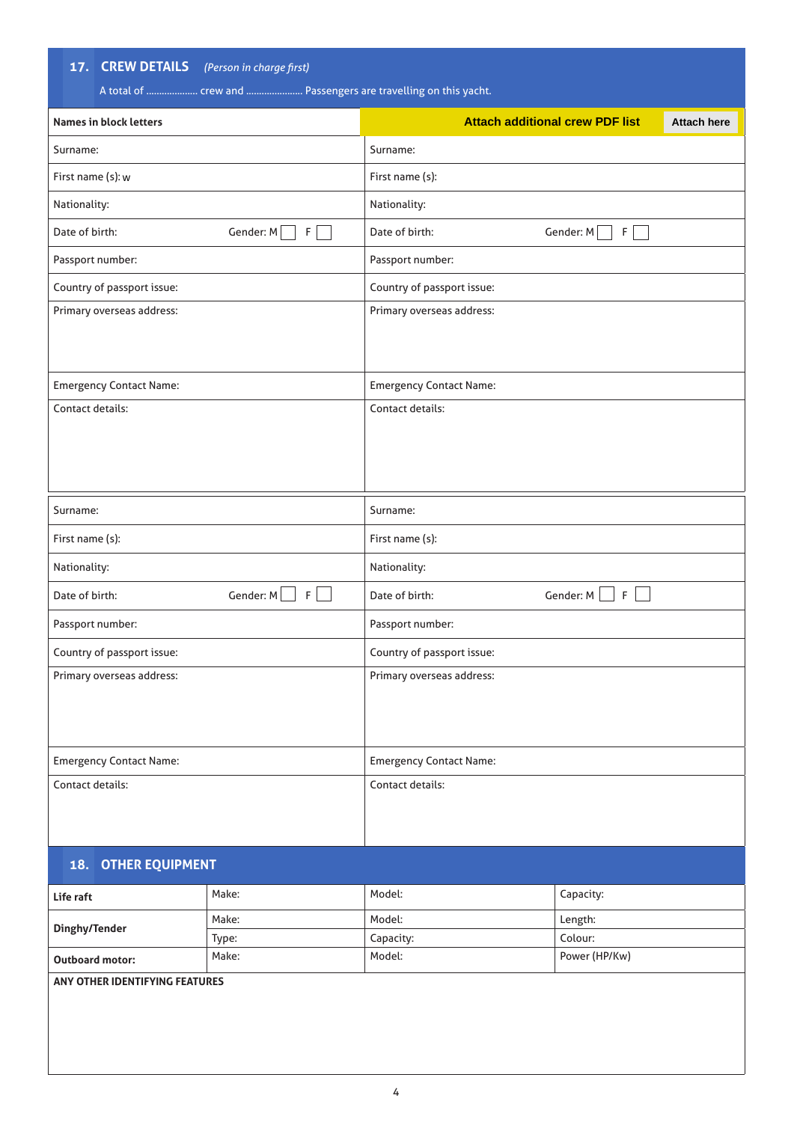**17. CREW DETAILS** *(Person in charge first)*

|                                | A total of  crew and  Passengers are travelling on this yacht. |                                |                                        |                    |
|--------------------------------|----------------------------------------------------------------|--------------------------------|----------------------------------------|--------------------|
| <b>Names in block letters</b>  |                                                                |                                | <b>Attach additional crew PDF list</b> | <b>Attach here</b> |
| Surname:                       |                                                                | Surname:                       |                                        |                    |
| First name (s): w              |                                                                | First name (s):                |                                        |                    |
| Nationality:                   |                                                                | Nationality:                   |                                        |                    |
| Date of birth:                 | Gender: M<br>F                                                 | Date of birth:                 | Gender: M<br>$F \mid$                  |                    |
| Passport number:               |                                                                | Passport number:               |                                        |                    |
| Country of passport issue:     |                                                                | Country of passport issue:     |                                        |                    |
| Primary overseas address:      |                                                                | Primary overseas address:      |                                        |                    |
| <b>Emergency Contact Name:</b> |                                                                | <b>Emergency Contact Name:</b> |                                        |                    |
| Contact details:               |                                                                | Contact details:               |                                        |                    |
| Surname:                       |                                                                | Surname:                       |                                        |                    |
| First name (s):                |                                                                | First name (s):                |                                        |                    |
| Nationality:                   |                                                                | Nationality:                   |                                        |                    |
| Date of birth:                 | Gender: M<br>F                                                 | Date of birth:                 | Gender: M<br>$\mathsf{F}$              |                    |
| Passport number:               |                                                                | Passport number:               |                                        |                    |
| Country of passport issue:     |                                                                | Country of passport issue:     |                                        |                    |
| Primary overseas address:      |                                                                | Primary overseas address:      |                                        |                    |
| <b>Emergency Contact Name:</b> |                                                                | <b>Emergency Contact Name:</b> |                                        |                    |
| Contact details:               |                                                                | Contact details:               |                                        |                    |
| <b>18. OTHER EQUIPMENT</b>     |                                                                |                                |                                        |                    |
| Life raft                      | Make:                                                          | Model:                         | Capacity:                              |                    |
|                                | Make:                                                          | Model:                         | Length:                                |                    |

**Dinghy/Tender**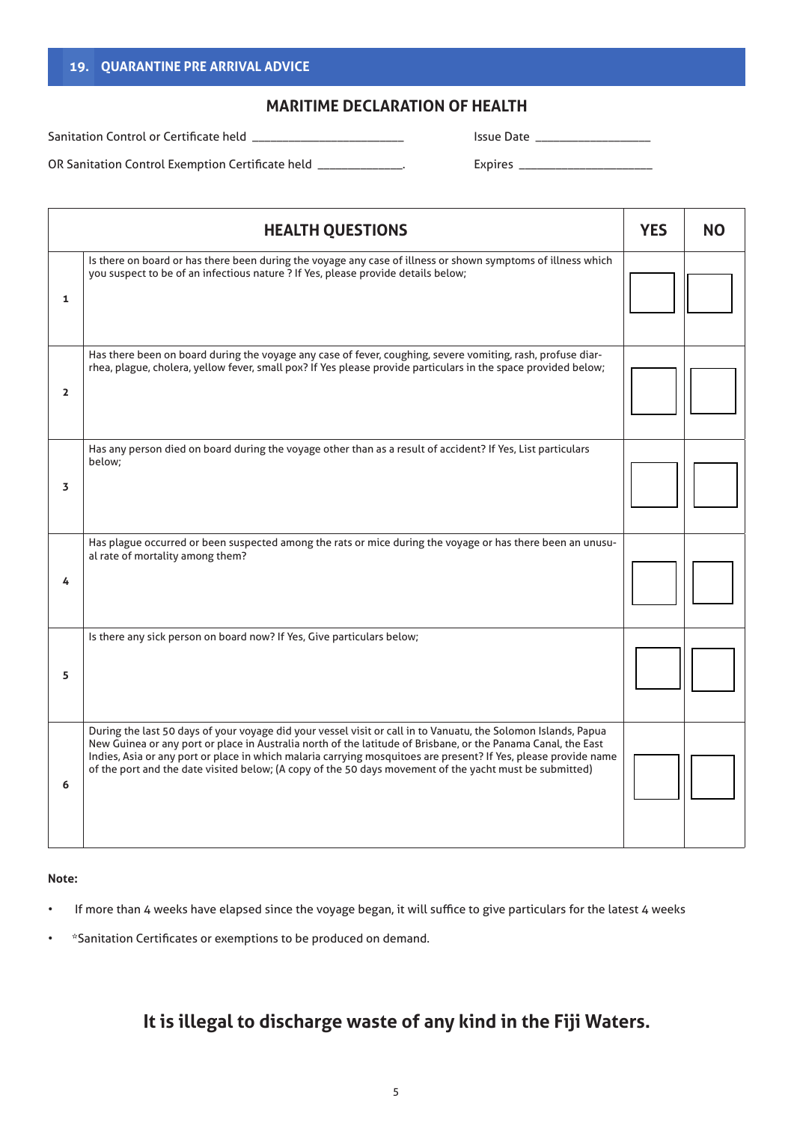## **19. QUARANTINE PRE ARRIVAL ADVICE**

## **MARITIME DECLARATION OF HEALTH**

Sanitation Control or Certificate held \_

Issue Date \_\_\_\_\_\_\_\_\_\_\_\_\_\_\_\_\_\_\_

OR Sanitation Control Exemption Certificate held \_\_\_\_\_\_\_\_\_\_\_\_\_\_.

Expires \_\_\_\_\_\_\_\_\_\_\_\_\_\_\_\_\_\_\_\_\_\_

|                | <b>HEALTH QUESTIONS</b>                                                                                                                                                                                                                                                                                                                                                                                                                                       | <b>YES</b> | <b>NO</b> |
|----------------|---------------------------------------------------------------------------------------------------------------------------------------------------------------------------------------------------------------------------------------------------------------------------------------------------------------------------------------------------------------------------------------------------------------------------------------------------------------|------------|-----------|
| $\mathbf{1}$   | Is there on board or has there been during the voyage any case of illness or shown symptoms of illness which<br>you suspect to be of an infectious nature ? If Yes, please provide details below;                                                                                                                                                                                                                                                             |            |           |
| $\overline{2}$ | Has there been on board during the voyage any case of fever, coughing, severe vomiting, rash, profuse diar-<br>rhea, plague, cholera, yellow fever, small pox? If Yes please provide particulars in the space provided below;                                                                                                                                                                                                                                 |            |           |
| 3              | Has any person died on board during the voyage other than as a result of accident? If Yes, List particulars<br>below:                                                                                                                                                                                                                                                                                                                                         |            |           |
| 4              | Has plague occurred or been suspected among the rats or mice during the voyage or has there been an unusu-<br>al rate of mortality among them?                                                                                                                                                                                                                                                                                                                |            |           |
| 5              | Is there any sick person on board now? If Yes, Give particulars below;                                                                                                                                                                                                                                                                                                                                                                                        |            |           |
| 6              | During the last 50 days of your voyage did your vessel visit or call in to Vanuatu, the Solomon Islands, Papua<br>New Guinea or any port or place in Australia north of the latitude of Brisbane, or the Panama Canal, the East<br>Indies, Asia or any port or place in which malaria carrying mosquitoes are present? If Yes, please provide name<br>of the port and the date visited below; (A copy of the 50 days movement of the yacht must be submitted) |            |           |

**Note:**

- If more than 4 weeks have elapsed since the voyage began, it will suffice to give particulars for the latest 4 weeks
- \*Sanitation Certificates or exemptions to be produced on demand.

# **It is illegal to discharge waste of any kind in the Fiji Waters.**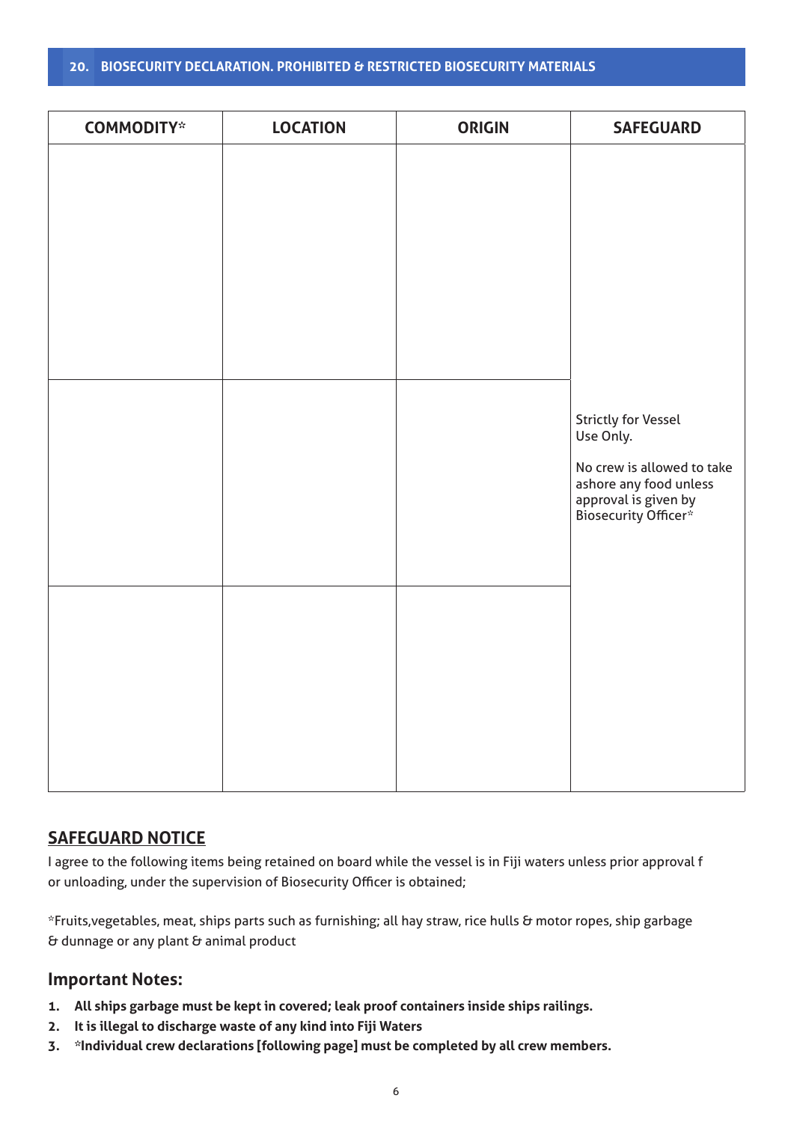## **20. BIOSECURITY DECLARATION. PROHIBITED & RESTRICTED BIOSECURITY MATERIALS**

| <b>COMMODITY*</b> | <b>LOCATION</b> | <b>ORIGIN</b> | <b>SAFEGUARD</b>                                                                                                                         |
|-------------------|-----------------|---------------|------------------------------------------------------------------------------------------------------------------------------------------|
|                   |                 |               |                                                                                                                                          |
|                   |                 |               | Strictly for Vessel<br>Use Only.<br>No crew is allowed to take<br>ashore any food unless<br>approval is given by<br>Biosecurity Officer* |
|                   |                 |               |                                                                                                                                          |

# **SAFEGUARD NOTICE**

I agree to the following items being retained on board while the vessel is in Fiji waters unless prior approval f or unloading, under the supervision of Biosecurity Officer is obtained;

\*Fruits,vegetables, meat, ships parts such as furnishing; all hay straw, rice hulls & motor ropes, ship garbage  $\epsilon$  dunnage or any plant  $\epsilon$  animal product

# **Important Notes:**

- **1. All ships garbage must be kept in covered; leak proof containers inside ships railings.**
- **2. It is illegal to discharge waste of any kind into Fiji Waters**
- **3. \*Individual crew declarations [following page] must be completed by all crew members.**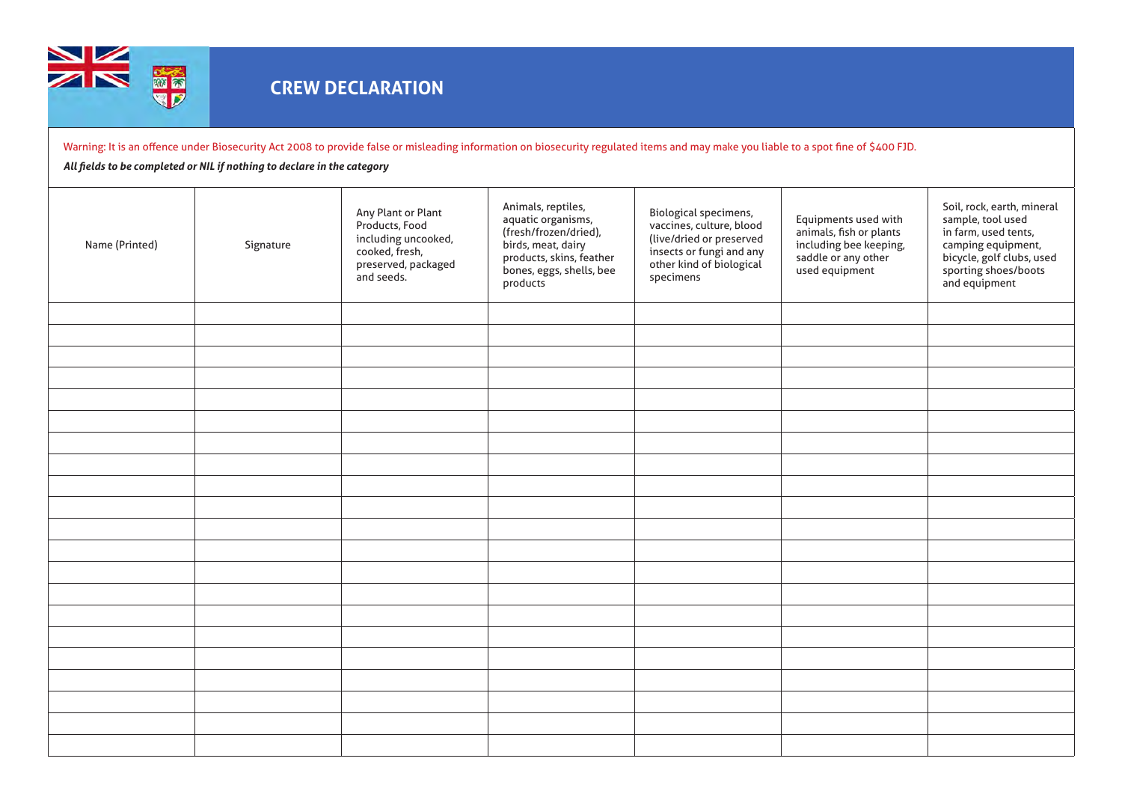

Warning: It is an offence under Biosecurity Act 2008 to provide false or misleading information on biosecurity regulated items and may make you liable to a spot fine of \$400 FJD.

### *All fields to be completed or NIL if nothing to declare in the category*

| Name (Printed) | Signature | Any Plant or Plant<br>Products, Food<br>including uncooked,<br>cooked, fresh,<br>preserved, packaged<br>and seeds. | Animals, reptiles,<br>aquatic organisms,<br>(fresh/frozen/dried),<br>birds, meat, dairy<br>products, skins, feather<br>bones, eggs, shells, bee<br>products | Biological specimens,<br>vaccines, culture, blood<br>(live/dried or preserved<br>insects or fungi and any<br>other kind of biological<br>specimens | Equipments used with<br>animals, fish or plants<br>including bee keeping,<br>saddle or any other<br>used equipment | Soil, rock, earth, mineral<br>sample, tool used<br>in farm, used tents,<br>camping equipment,<br>bicycle, golf clubs, used<br>sporting shoes/boots<br>and equipment |
|----------------|-----------|--------------------------------------------------------------------------------------------------------------------|-------------------------------------------------------------------------------------------------------------------------------------------------------------|----------------------------------------------------------------------------------------------------------------------------------------------------|--------------------------------------------------------------------------------------------------------------------|---------------------------------------------------------------------------------------------------------------------------------------------------------------------|
|                |           |                                                                                                                    |                                                                                                                                                             |                                                                                                                                                    |                                                                                                                    |                                                                                                                                                                     |
|                |           |                                                                                                                    |                                                                                                                                                             |                                                                                                                                                    |                                                                                                                    |                                                                                                                                                                     |
|                |           |                                                                                                                    |                                                                                                                                                             |                                                                                                                                                    |                                                                                                                    |                                                                                                                                                                     |
|                |           |                                                                                                                    |                                                                                                                                                             |                                                                                                                                                    |                                                                                                                    |                                                                                                                                                                     |
|                |           |                                                                                                                    |                                                                                                                                                             |                                                                                                                                                    |                                                                                                                    |                                                                                                                                                                     |
|                |           |                                                                                                                    |                                                                                                                                                             |                                                                                                                                                    |                                                                                                                    |                                                                                                                                                                     |
|                |           |                                                                                                                    |                                                                                                                                                             |                                                                                                                                                    |                                                                                                                    |                                                                                                                                                                     |
|                |           |                                                                                                                    |                                                                                                                                                             |                                                                                                                                                    |                                                                                                                    |                                                                                                                                                                     |
|                |           |                                                                                                                    |                                                                                                                                                             |                                                                                                                                                    |                                                                                                                    |                                                                                                                                                                     |
|                |           |                                                                                                                    |                                                                                                                                                             |                                                                                                                                                    |                                                                                                                    |                                                                                                                                                                     |
|                |           |                                                                                                                    |                                                                                                                                                             |                                                                                                                                                    |                                                                                                                    |                                                                                                                                                                     |
|                |           |                                                                                                                    |                                                                                                                                                             |                                                                                                                                                    |                                                                                                                    |                                                                                                                                                                     |
|                |           |                                                                                                                    |                                                                                                                                                             |                                                                                                                                                    |                                                                                                                    |                                                                                                                                                                     |
|                |           |                                                                                                                    |                                                                                                                                                             |                                                                                                                                                    |                                                                                                                    |                                                                                                                                                                     |
|                |           |                                                                                                                    |                                                                                                                                                             |                                                                                                                                                    |                                                                                                                    |                                                                                                                                                                     |
|                |           |                                                                                                                    |                                                                                                                                                             |                                                                                                                                                    |                                                                                                                    |                                                                                                                                                                     |
|                |           |                                                                                                                    |                                                                                                                                                             |                                                                                                                                                    |                                                                                                                    |                                                                                                                                                                     |
|                |           |                                                                                                                    |                                                                                                                                                             |                                                                                                                                                    |                                                                                                                    |                                                                                                                                                                     |
|                |           |                                                                                                                    |                                                                                                                                                             |                                                                                                                                                    |                                                                                                                    |                                                                                                                                                                     |
|                |           |                                                                                                                    |                                                                                                                                                             |                                                                                                                                                    |                                                                                                                    |                                                                                                                                                                     |
|                |           |                                                                                                                    |                                                                                                                                                             |                                                                                                                                                    |                                                                                                                    |                                                                                                                                                                     |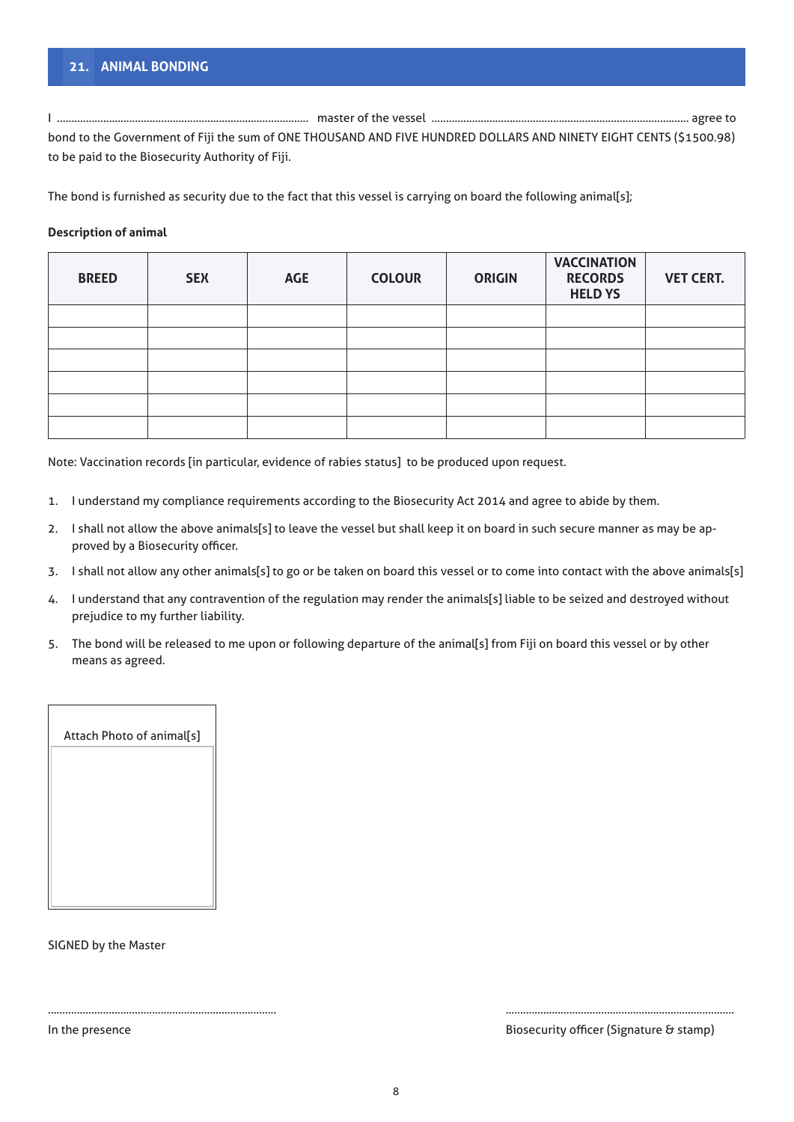# **21. ANIMAL BONDING**

I ....................................................................................... master of the vessel ......................................................................................... agree to bond to the Government of Fiji the sum of ONE THOUSAND AND FIVE HUNDRED DOLLARS AND NINETY EIGHT CENTS (\$1500.98) to be paid to the Biosecurity Authority of Fiji.

The bond is furnished as security due to the fact that this vessel is carrying on board the following animal[s];

### **Description of animal**

| <b>BREED</b> | <b>SEX</b> | <b>AGE</b> | <b>COLOUR</b> | <b>ORIGIN</b> | <b>VACCINATION</b><br><b>RECORDS</b><br><b>HELD YS</b> | <b>VET CERT.</b> |
|--------------|------------|------------|---------------|---------------|--------------------------------------------------------|------------------|
|              |            |            |               |               |                                                        |                  |
|              |            |            |               |               |                                                        |                  |
|              |            |            |               |               |                                                        |                  |
|              |            |            |               |               |                                                        |                  |
|              |            |            |               |               |                                                        |                  |
|              |            |            |               |               |                                                        |                  |

Note: Vaccination records [in particular, evidence of rabies status] to be produced upon request.

- 1. I understand my compliance requirements according to the Biosecurity Act 2014 and agree to abide by them.
- 2. I shall not allow the above animals[s] to leave the vessel but shall keep it on board in such secure manner as may be approved by a Biosecurity officer.
- 3. I shall not allow any other animals[s] to go or be taken on board this vessel or to come into contact with the above animals[s]
- 4. I understand that any contravention of the regulation may render the animals[s] liable to be seized and destroyed without prejudice to my further liability.
- 5. The bond will be released to me upon or following departure of the animal[s] from Fiji on board this vessel or by other means as agreed.



SIGNED by the Master

In the presence **Biosecurity officer (Signature & stamp)** Biosecurity officer (Signature & stamp)

............................................................................... ...............................................................................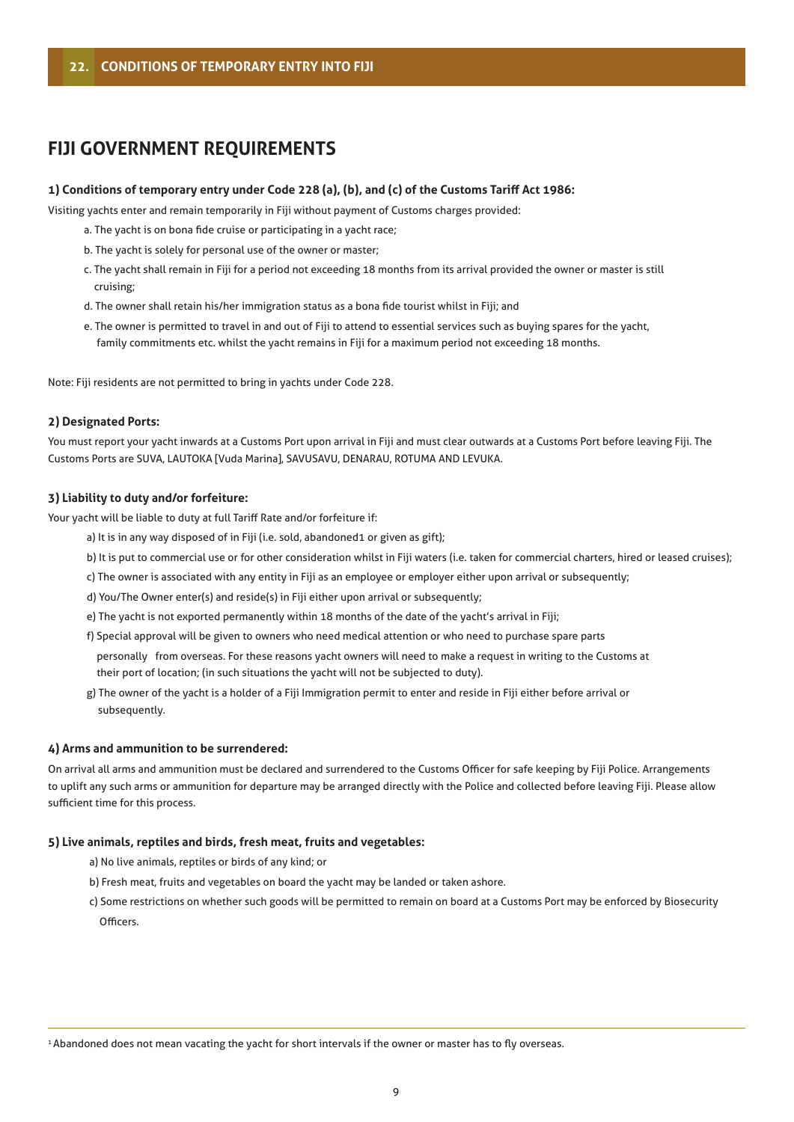# **FIJI GOVERNMENT REQUIREMENTS**

### **1) Conditions of temporary entry under Code 228 (a), (b), and (c) of the Customs Tariff Act 1986:**

Visiting yachts enter and remain temporarily in Fiji without payment of Customs charges provided:

- a. The yacht is on bona fide cruise or participating in a yacht race;
- b. The yacht is solely for personal use of the owner or master;
- c. The yacht shall remain in Fiji for a period not exceeding 18 months from its arrival provided the owner or master is still cruising;
- d. The owner shall retain his/her immigration status as a bona fide tourist whilst in Fiji; and
- e. The owner is permitted to travel in and out of Fiji to attend to essential services such as buying spares for the yacht, family commitments etc. whilst the yacht remains in Fiji for a maximum period not exceeding 18 months.

Note: Fiji residents are not permitted to bring in yachts under Code 228.

#### **2) Designated Ports:**

You must report your yacht inwards at a Customs Port upon arrival in Fiji and must clear outwards at a Customs Port before leaving Fiji. The Customs Ports are SUVA, LAUTOKA [Vuda Marina], SAVUSAVU, DENARAU, ROTUMA AND LEVUKA.

#### **3) Liability to duty and/or forfeiture:**

Your yacht will be liable to duty at full Tariff Rate and/or forfeiture if:

- a) It is in any way disposed of in Fiji (i.e. sold, abandoned1 or given as gift);
- b) It is put to commercial use or for other consideration whilst in Fiji waters (i.e. taken for commercial charters, hired or leased cruises);
- c) The owner is associated with any entity in Fiji as an employee or employer either upon arrival or subsequently;
- d) You/The Owner enter(s) and reside(s) in Fiji either upon arrival or subsequently;
- e) The yacht is not exported permanently within 18 months of the date of the yacht's arrival in Fiji;
- f) Special approval will be given to owners who need medical attention or who need to purchase spare parts personally from overseas. For these reasons yacht owners will need to make a request in writing to the Customs at their port of location; (in such situations the yacht will not be subjected to duty).
- g) The owner of the yacht is a holder of a Fiji Immigration permit to enter and reside in Fiji either before arrival or subsequently.

### **4) Arms and ammunition to be surrendered:**

On arrival all arms and ammunition must be declared and surrendered to the Customs Officer for safe keeping by Fiji Police. Arrangements to uplift any such arms or ammunition for departure may be arranged directly with the Police and collected before leaving Fiji. Please allow sufficient time for this process.

### **5) Live animals, reptiles and birds, fresh meat, fruits and vegetables:**

- a) No live animals, reptiles or birds of any kind; or
- b) Fresh meat, fruits and vegetables on board the yacht may be landed or taken ashore.
- c) Some restrictions on whether such goods will be permitted to remain on board at a Customs Port may be enforced by Biosecurity **Officers**

<sup>1</sup> Abandoned does not mean vacating the yacht for short intervals if the owner or master has to fly overseas.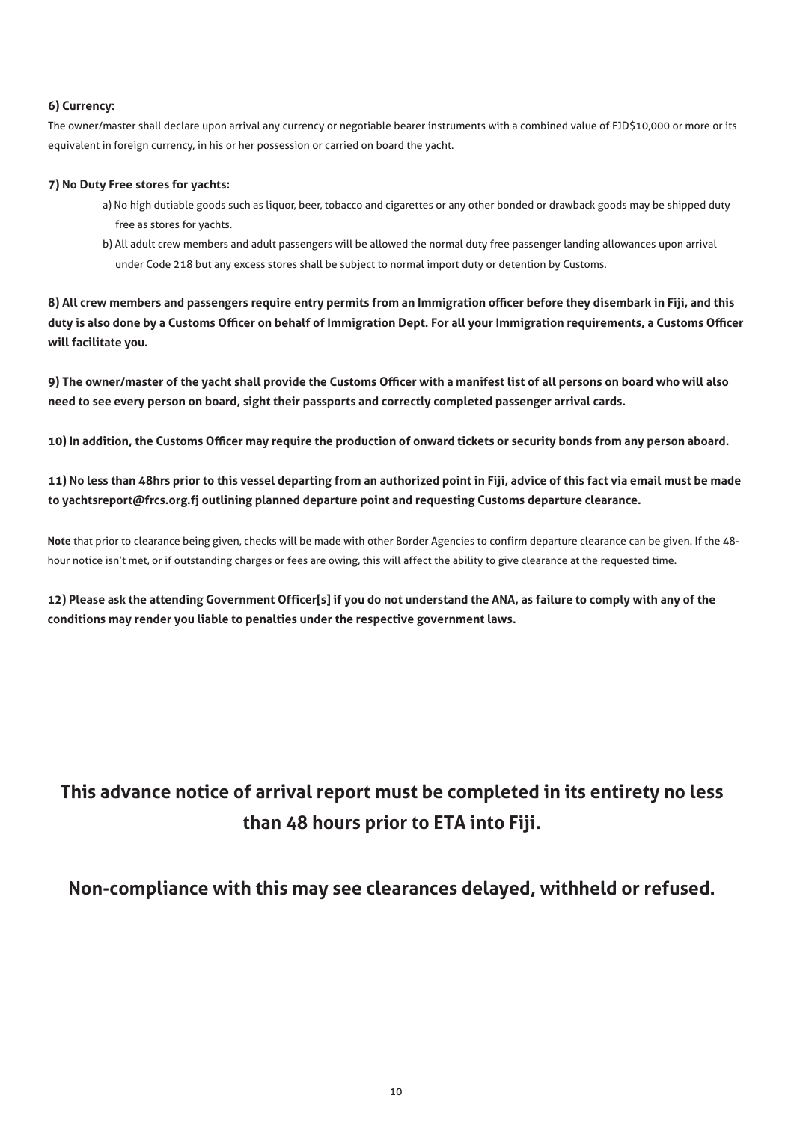### **6) Currency:**

The owner/master shall declare upon arrival any currency or negotiable bearer instruments with a combined value of FJD\$10,000 or more or its equivalent in foreign currency, in his or her possession or carried on board the yacht.

### **7) No Duty Free stores for yachts:**

- a) No high dutiable goods such as liquor, beer, tobacco and cigarettes or any other bonded or drawback goods may be shipped duty free as stores for yachts.
- b) All adult crew members and adult passengers will be allowed the normal duty free passenger landing allowances upon arrival under Code 218 but any excess stores shall be subject to normal import duty or detention by Customs.

**8) All crew members and passengers require entry permits from an Immigration officer before they disembark in Fiji, and this duty is also done by a Customs Officer on behalf of Immigration Dept. For all your Immigration requirements, a Customs Officer will facilitate you.**

**9) The owner/master of the yacht shall provide the Customs Officer with a manifest list of all persons on board who will also need to see every person on board, sight their passports and correctly completed passenger arrival cards.**

**10) In addition, the Customs Officer may require the production of onward tickets or security bonds from any person aboard.**

**11) No less than 48hrs prior to this vessel departing from an authorized point in Fiji, advice of this fact via email must be made to yachtsreport@frcs.org.fj outlining planned departure point and requesting Customs departure clearance.**

**Note** that prior to clearance being given, checks will be made with other Border Agencies to confirm departure clearance can be given. If the 48 hour notice isn't met, or if outstanding charges or fees are owing, this will affect the ability to give clearance at the requested time.

**12) Please ask the attending Government Officer[s] if you do not understand the ANA, as failure to comply with any of the conditions may render you liable to penalties under the respective government laws.**

# **This advance notice of arrival report must be completed in its entirety no less than 48 hours prior to ETA into Fiji.**

# **Non-compliance with this may see clearances delayed, withheld or refused.**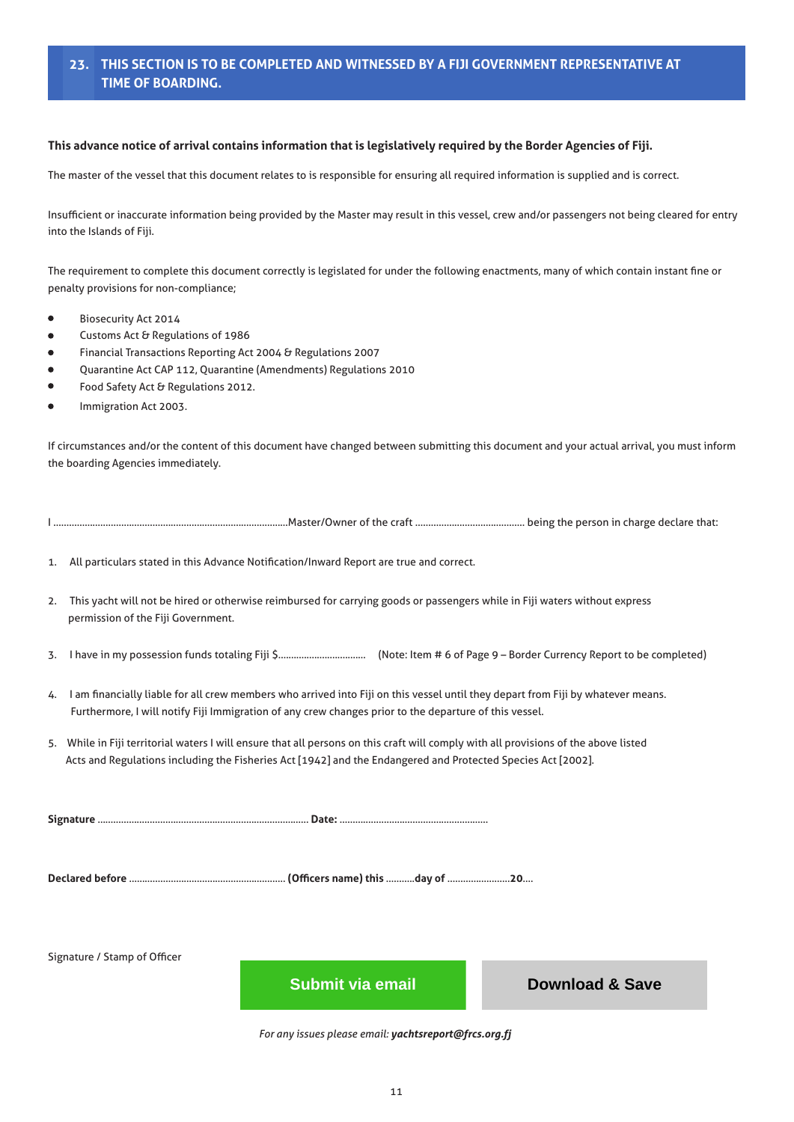### **23. THIS SECTION IS TO BE COMPLETED AND WITNESSED BY A FIJI GOVERNMENT REPRESENTATIVE AT TIME OF BOARDING.**

### **This advance notice of arrival contains information that is legislatively required by the Border Agencies of Fiji.**

The master of the vessel that this document relates to is responsible for ensuring all required information is supplied and is correct.

Insufficient or inaccurate information being provided by the Master may result in this vessel, crew and/or passengers not being cleared for entry into the Islands of Fiji.

The requirement to complete this document correctly is legislated for under the following enactments, many of which contain instant fine or penalty provisions for non-compliance;

- Biosecurity Act 2014
- Customs Act & Regulations of 1986
- Financial Transactions Reporting Act 2004 & Regulations 2007
- Quarantine Act CAP 112, Quarantine (Amendments) Regulations 2010
- Food Safety Act & Regulations 2012.
- Immigration Act 2003.

If circumstances and/or the content of this document have changed between submitting this document and your actual arrival, you must inform the boarding Agencies immediately.

| $\sim$<br>craft<br>.Master/Owner<br>ot the |  |  | , being the person in charge declare that: |  |  |  |
|--------------------------------------------|--|--|--------------------------------------------|--|--|--|
|--------------------------------------------|--|--|--------------------------------------------|--|--|--|

1. All particulars stated in this Advance Notification/Inward Report are true and correct.

- 2. This yacht will not be hired or otherwise reimbursed for carrying goods or passengers while in Fiji waters without express permission of the Fiji Government.
- 3. I have in my possession funds totaling Fiji \$.................................. (Note: Item # 6 of Page 9 Border Currency Report to be completed)
- 4. I am financially liable for all crew members who arrived into Fiji on this vessel until they depart from Fiji by whatever means. Furthermore, I will notify Fiji Immigration of any crew changes prior to the departure of this vessel.
- 5. While in Fiji territorial waters I will ensure that all persons on this craft will comply with all provisions of the above listed Acts and Regulations including the Fisheries Act [1942] and the Endangered and Protected Species Act [2002].

**Signature** ……………………………………………………………………… **Date:** …………………………………………………

**Declared before** …………………………………………………… **(Officers name) this** ………..**day of** ……………………**20**….

Signature / Stamp of Officer

*For any issues please email: yachtsreport@frcs.org.fj* **11 Download & Save**<br> **Download & Save**<br> **Download & Save**<br> **Download & Save**<br> **Download & Save**<br> **Download & Save**<br> **Download & Save**<br> **Download & Save**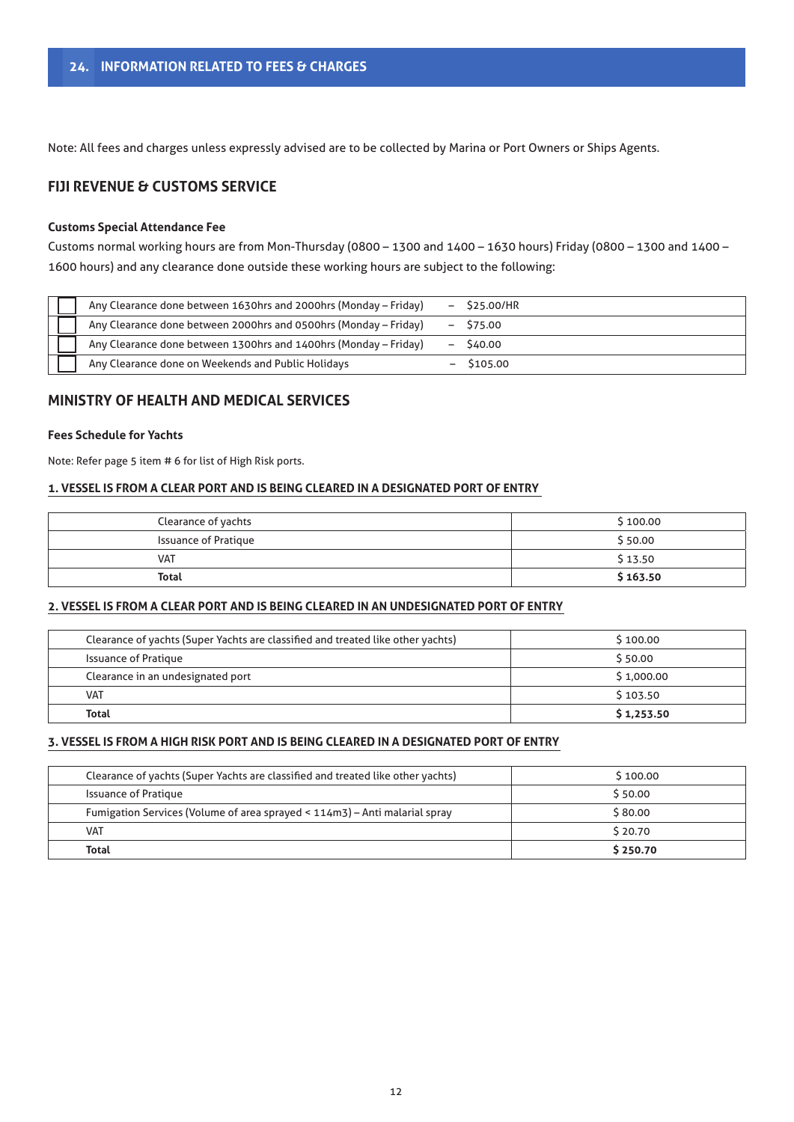Note: All fees and charges unless expressly advised are to be collected by Marina or Port Owners or Ships Agents.

## **FIJI REVENUE & CUSTOMS SERVICE**

### **Customs Special Attendance Fee**

Customs normal working hours are from Mon-Thursday (0800 – 1300 and 1400 – 1630 hours) Friday (0800 – 1300 and 1400 – 1600 hours) and any clearance done outside these working hours are subject to the following:

| Any Clearance done between 1630hrs and 2000hrs (Monday - Friday) |                          | $-$ \$25.00/HR |
|------------------------------------------------------------------|--------------------------|----------------|
| Any Clearance done between 2000hrs and 0500hrs (Monday - Friday) | $-$                      | S75.00         |
| Any Clearance done between 1300hrs and 1400hrs (Monday - Friday) |                          | S40.00         |
| Any Clearance done on Weekends and Public Holidays               | $\overline{\phantom{0}}$ | S105.00        |

### **MINISTRY OF HEALTH AND MEDICAL SERVICES**

### **Fees Schedule for Yachts**

Note: Refer page 5 item # 6 for list of High Risk ports.

### **1. VESSEL IS FROM A CLEAR PORT AND IS BEING CLEARED IN A DESIGNATED PORT OF ENTRY**

| Clearance of yachts         | \$100.00 |
|-----------------------------|----------|
| <b>Issuance of Pratique</b> | \$50.00  |
| <b>VAT</b>                  | \$13.50  |
| <b>Total</b>                | \$163.50 |

### **2. VESSEL IS FROM A CLEAR PORT AND IS BEING CLEARED IN AN UNDESIGNATED PORT OF ENTRY**

| Clearance of yachts (Super Yachts are classified and treated like other yachts) | S 100.00   |
|---------------------------------------------------------------------------------|------------|
| <b>Issuance of Pratique</b>                                                     | \$50.00    |
| Clearance in an undesignated port                                               | \$1,000.00 |
| <b>VAT</b>                                                                      | \$103.50   |
| <b>Total</b>                                                                    | \$1,253.50 |

### **3. VESSEL IS FROM A HIGH RISK PORT AND IS BEING CLEARED IN A DESIGNATED PORT OF ENTRY**

| Clearance of yachts (Super Yachts are classified and treated like other yachts) | S 100.00 |
|---------------------------------------------------------------------------------|----------|
| <b>Issuance of Pratique</b>                                                     | \$50.00  |
| Fumigation Services (Volume of area sprayed < 114m3) - Anti malarial spray      | \$80.00  |
| <b>VAT</b>                                                                      | \$20.70  |
| <b>Total</b>                                                                    | \$250.70 |